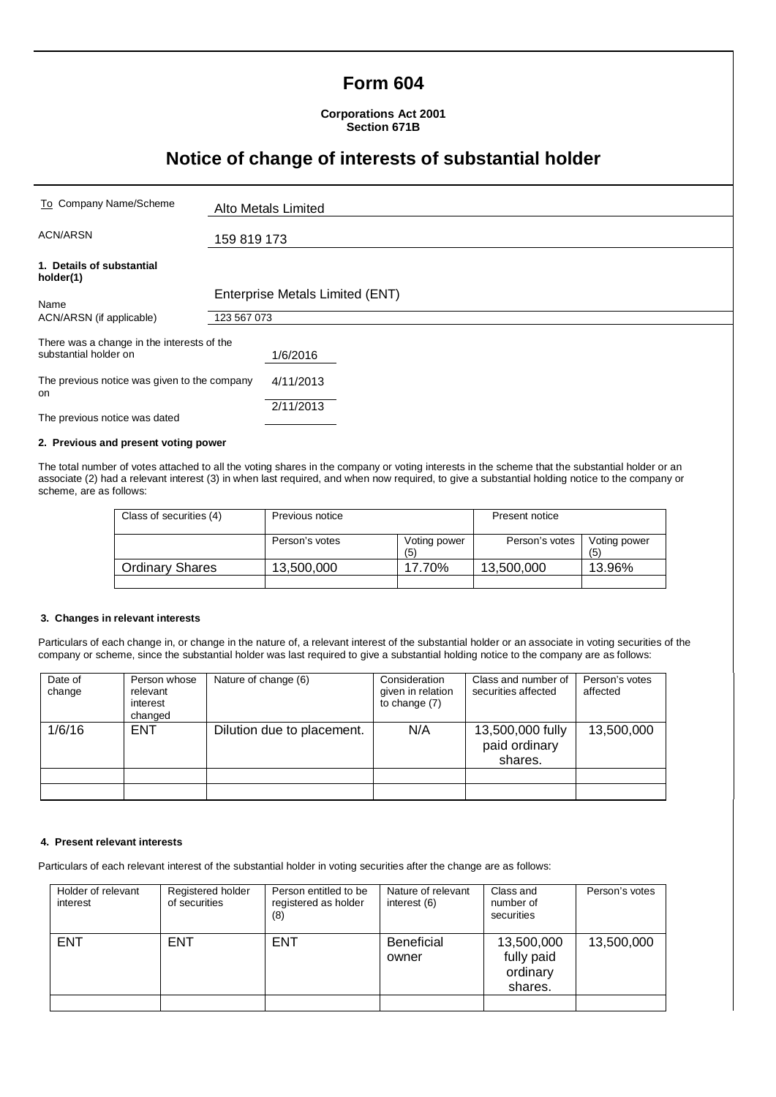# **Form 604**

**Corporations Act 2001 Section 671B**

# **Notice of change of interests of substantial holder**

| To Company Name/Scheme                                              | Alto Metals Limited             |  |
|---------------------------------------------------------------------|---------------------------------|--|
| <b>ACN/ARSN</b>                                                     | 159 819 173                     |  |
| 1. Details of substantial<br>holder(1)                              |                                 |  |
| Name                                                                | Enterprise Metals Limited (ENT) |  |
| ACN/ARSN (if applicable)                                            | 123 567 073                     |  |
| There was a change in the interests of the<br>substantial holder on | 1/6/2016                        |  |
| The previous notice was given to the company<br>on                  | 4/11/2013                       |  |
| The previous notice was dated                                       | 2/11/2013                       |  |

### **2. Previous and present voting power**

The total number of votes attached to all the voting shares in the company or voting interests in the scheme that the substantial holder or an associate (2) had a relevant interest (3) in when last required, and when now required, to give a substantial holding notice to the company or scheme, are as follows:

| Class of securities (4) | Previous notice |                     | Present notice |                     |
|-------------------------|-----------------|---------------------|----------------|---------------------|
|                         | Person's votes  | Voting power<br>(5) | Person's votes | Voting power<br>(5) |
| <b>Ordinary Shares</b>  | 13,500,000      | 17.70%              | 13,500,000     | 13.96%              |
|                         |                 |                     |                |                     |

#### **3. Changes in relevant interests**

Particulars of each change in, or change in the nature of, a relevant interest of the substantial holder or an associate in voting securities of the company or scheme, since the substantial holder was last required to give a substantial holding notice to the company are as follows:

| Date of<br>change | Person whose<br>relevant<br>interest<br>changed | Nature of change (6)       | Consideration<br>given in relation<br>to change (7) | Class and number of<br>securities affected   | Person's votes<br>affected |
|-------------------|-------------------------------------------------|----------------------------|-----------------------------------------------------|----------------------------------------------|----------------------------|
| 1/6/16            | <b>ENT</b>                                      | Dilution due to placement. | N/A                                                 | 13,500,000 fully<br>paid ordinary<br>shares. | 13,500,000                 |
|                   |                                                 |                            |                                                     |                                              |                            |
|                   |                                                 |                            |                                                     |                                              |                            |

### **4. Present relevant interests**

Particulars of each relevant interest of the substantial holder in voting securities after the change are as follows:

| Holder of relevant<br>interest | Registered holder<br>of securities | Person entitled to be<br>registered as holder<br>(8) | Nature of relevant<br>interest (6) | Class and<br>number of<br>securities            | Person's votes |
|--------------------------------|------------------------------------|------------------------------------------------------|------------------------------------|-------------------------------------------------|----------------|
| <b>ENT</b>                     | <b>ENT</b>                         | <b>ENT</b>                                           | <b>Beneficial</b><br>owner         | 13,500,000<br>fully paid<br>ordinary<br>shares. | 13,500,000     |
|                                |                                    |                                                      |                                    |                                                 |                |